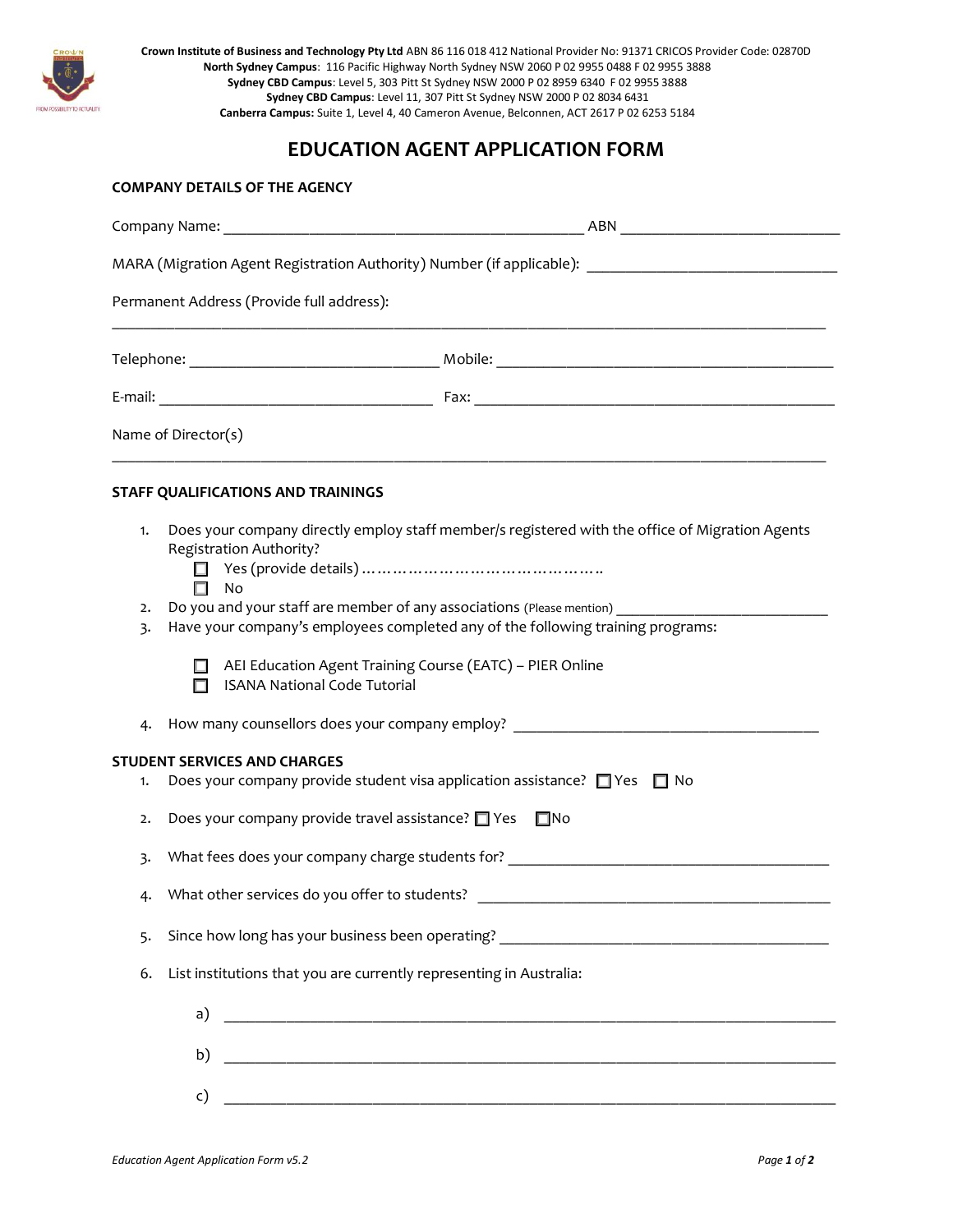

**Crown Institute of Business and Technology Pty Ltd** ABN 86 116 018 412 National Provider No: 91371 CRICOS Provider Code: 02870D **North Sydney Campus**: 116 Pacific Highway North Sydney NSW 2060 P 02 9955 0488 F 02 9955 3888 **Sydney CBD Campus**: Level 5, 303 Pitt St Sydney NSW 2000 P 02 8959 6340 F 02 9955 3888 **Sydney CBD Campus**: Level 11, 307 Pitt St Sydney NSW 2000 P 02 8034 6431 **Canberra Campus:** Suite 1, Level 4, 40 Cameron Avenue, Belconnen, ACT 2617 P 02 6253 5184

## **EDUCATION AGENT APPLICATION FORM**

|          | Company Name: 1988 and 2008 and 2008 and 2008 and 2008 and 2008 and 2008 and 2008 and 2008 and 2008 and 2008 a                                           |
|----------|----------------------------------------------------------------------------------------------------------------------------------------------------------|
|          | MARA (Migration Agent Registration Authority) Number (if applicable): ______________________________                                                     |
|          | Permanent Address (Provide full address):                                                                                                                |
|          |                                                                                                                                                          |
|          |                                                                                                                                                          |
|          | Name of Director(s)                                                                                                                                      |
|          | STAFF QUALIFICATIONS AND TRAININGS                                                                                                                       |
| 1.       | Does your company directly employ staff member/s registered with the office of Migration Agents<br><b>Registration Authority?</b><br><b>No</b>           |
| 2.<br>3. | Do you and your staff are member of any associations (Please mention)<br>Have your company's employees completed any of the following training programs: |
|          | AEI Education Agent Training Course (EATC) - PIER Online<br><b>ISANA National Code Tutorial</b><br>П                                                     |
| 4.       | How many counsellors does your company employ? _________________________________                                                                         |
| 1.       | <b>STUDENT SERVICES AND CHARGES</b><br>Does your company provide student visa application assistance? $\Box$ Yes $\Box$ No                               |
| 2.       | Does your company provide travel assistance? T Yes<br>$\square$ No                                                                                       |
| 3.       | What fees does your company charge students for?                                                                                                         |
| 4.       | What other services do you offer to students?                                                                                                            |
| 5.       |                                                                                                                                                          |
| 6.       | List institutions that you are currently representing in Australia:                                                                                      |
|          | a)                                                                                                                                                       |
|          | b)                                                                                                                                                       |
|          | c)                                                                                                                                                       |